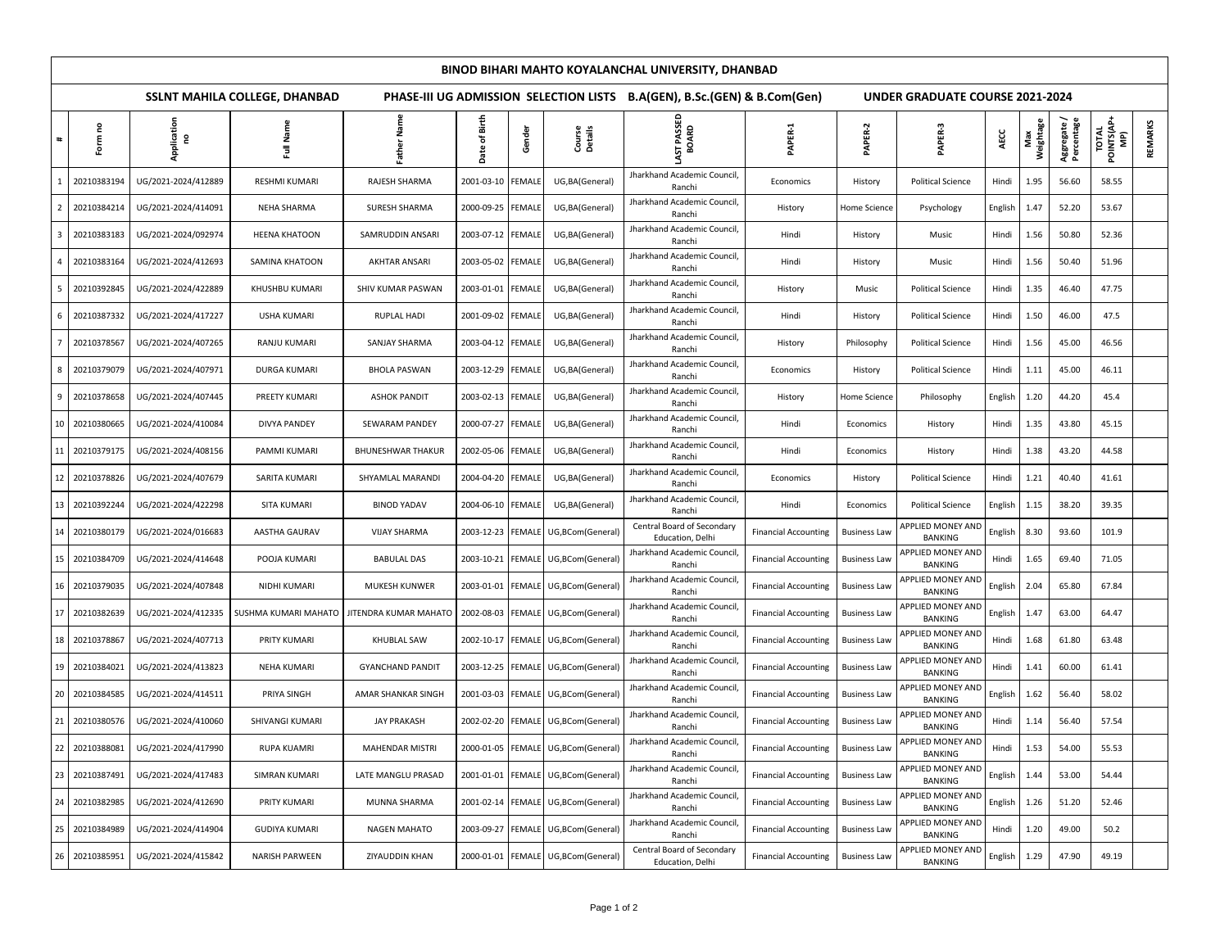|    | BINOD BIHARI MAHTO KOYALANCHAL UNIVERSITY, DHANBAD |                                      |                                                                          |                          |                   |               |                                    |                                                |                             |                                        |                                            |         |                  |                          |                                    |         |
|----|----------------------------------------------------|--------------------------------------|--------------------------------------------------------------------------|--------------------------|-------------------|---------------|------------------------------------|------------------------------------------------|-----------------------------|----------------------------------------|--------------------------------------------|---------|------------------|--------------------------|------------------------------------|---------|
|    |                                                    | <b>SSLNT MAHILA COLLEGE, DHANBAD</b> | PHASE-III UG ADMISSION SELECTION LISTS B.A(GEN), B.Sc.(GEN) & B.Com(Gen) |                          |                   |               |                                    |                                                |                             | <b>UNDER GRADUATE COURSE 2021-2024</b> |                                            |         |                  |                          |                                    |         |
|    | Form no                                            | Application<br>2                     | Full Name                                                                | Father Name              | of Birth<br>Date  | Gender        | Course<br>Details                  | LAST PASSED<br>BOARD                           | PAPER-1                     | PAPER-2                                | PAPER-3                                    | AECC    | Max<br>Weightage | Aggregate/<br>Percentage | <b>TOTAL<br/>POINTS(AP+</b><br>MP) | REMARKS |
|    | 20210383194                                        | UG/2021-2024/412889                  | <b>RESHMI KUMARI</b>                                                     | RAJESH SHARMA            | 2001-03-10        | <b>EMALE</b>  | UG, BA (General)                   | Jharkhand Academic Council,<br>Ranchi          | Economics                   | History                                | <b>Political Science</b>                   | Hindi   | 1.95             | 56.60                    | 58.55                              |         |
|    | 20210384214                                        | UG/2021-2024/414091                  | NEHA SHARMA                                                              | SURESH SHARMA            | 2000-09-25 FEMALE |               | UG, BA (General)                   | Jharkhand Academic Council,<br>Ranchi          | History                     | <b>Home Science</b>                    | Psychology                                 | English | 1.47             | 52.20                    | 53.67                              |         |
|    | 20210383183                                        | UG/2021-2024/092974                  | <b>HEENA KHATOON</b>                                                     | SAMRUDDIN ANSARI         | 2003-07-12 FEMALE |               | UG, BA (General)                   | Jharkhand Academic Council,<br>Ranchi          | Hindi                       | History                                | Music                                      | Hindi   | 1.56             | 50.80                    | 52.36                              |         |
|    | 20210383164                                        | UG/2021-2024/412693                  | SAMINA KHATOON                                                           | <b>AKHTAR ANSARI</b>     | 2003-05-02 FEMALE |               | UG, BA (General)                   | Jharkhand Academic Council,<br>Ranchi          | Hindi                       | History                                | Music                                      | Hindi   | 1.56             | 50.40                    | 51.96                              |         |
|    | 20210392845                                        | UG/2021-2024/422889                  | KHUSHBU KUMARI                                                           | SHIV KUMAR PASWAN        | 2003-01-01 FEMALE |               | UG, BA (General)                   | Jharkhand Academic Council,<br>Ranchi          | History                     | Music                                  | <b>Political Science</b>                   | Hindi   | 1.35             | 46.40                    | 47.75                              |         |
|    | 20210387332                                        | UG/2021-2024/417227                  | <b>USHA KUMARI</b>                                                       | RUPLAL HADI              | 2001-09-02        | <b>FEMALE</b> | UG, BA (General)                   | Jharkhand Academic Council,<br>Ranchi          | Hindi                       | History                                | <b>Political Science</b>                   | Hindi   | 1.50             | 46.00                    | 47.5                               |         |
|    | 20210378567                                        | UG/2021-2024/407265                  | RANJU KUMARI                                                             | SANJAY SHARMA            | 2003-04-12 FEMALE |               | UG, BA (General)                   | Jharkhand Academic Council,<br>Ranchi          | History                     | Philosophy                             | <b>Political Science</b>                   | Hindi   | 1.56             | 45.00                    | 46.56                              |         |
|    | 20210379079                                        | UG/2021-2024/407971                  | DURGA KUMARI                                                             | <b>BHOLA PASWAN</b>      | 2003-12-29 FEMALE |               | UG, BA (General)                   | Jharkhand Academic Council,<br>Ranchi          | Economics                   | History                                | <b>Political Science</b>                   | Hindi   | 1.11             | 45.00                    | 46.11                              |         |
| 9  | 20210378658                                        | UG/2021-2024/407445                  | PREETY KUMARI                                                            | <b>ASHOK PANDIT</b>      | 2003-02-13 FEMALE |               | UG, BA (General)                   | Jharkhand Academic Council,<br>Ranchi          | History                     | <b>Home Science</b>                    | Philosophy                                 | English | 1.20             | 44.20                    | 45.4                               |         |
| 10 | 20210380665                                        | UG/2021-2024/410084                  | DIVYA PANDEY                                                             | <b>SEWARAM PANDEY</b>    | 2000-07-27        | <b>FEMALE</b> | UG, BA (General)                   | Jharkhand Academic Council,<br>Ranchi          | Hindi                       | Economics                              | History                                    | Hindi   | 1.35             | 43.80                    | 45.15                              |         |
| 11 | 20210379175                                        | UG/2021-2024/408156                  | PAMMI KUMARI                                                             | <b>BHUNESHWAR THAKUR</b> | 2002-05-06        | <b>FEMALE</b> | UG, BA (General)                   | Jharkhand Academic Council,<br>Ranchi          | Hindi                       | Economics                              | History                                    | Hindi   | 1.38             | 43.20                    | 44.58                              |         |
|    | 20210378826                                        | UG/2021-2024/407679                  | SARITA KUMARI                                                            | SHYAMLAL MARANDI         | 2004-04-20 FEMALE |               | UG, BA (General)                   | Jharkhand Academic Council,<br>Ranchi          | Economics                   | History                                | <b>Political Science</b>                   | Hindi   | 1.21             | 40.40                    | 41.61                              |         |
| 13 | 20210392244                                        | UG/2021-2024/422298                  | SITA KUMARI                                                              | <b>BINOD YADAV</b>       | 2004-06-10 FEMALE |               | UG, BA (General)                   | Jharkhand Academic Council,<br>Ranchi          | Hindi                       | Economics                              | <b>Political Science</b>                   | English | 1.15             | 38.20                    | 39.35                              |         |
| 14 | 20210380179                                        | UG/2021-2024/016683                  | AASTHA GAURAV                                                            | <b>VIJAY SHARMA</b>      | 2003-12-23 FEMALE |               | UG,BCom(General)                   | Central Board of Secondary<br>Education, Delhi | <b>Financial Accounting</b> | <b>Business Law</b>                    | <b>APPLIED MONEY AND</b><br><b>BANKING</b> | English | 8.30             | 93.60                    | 101.9                              |         |
| 15 | 20210384709                                        | UG/2021-2024/414648                  | POOJA KUMARI                                                             | <b>BABULAL DAS</b>       | 2003-10-21        | <b>FEMALE</b> | UG,BCom(General)                   | Jharkhand Academic Council,<br>Ranchi          | <b>Financial Accounting</b> | <b>Business Law</b>                    | APPLIED MONEY AND<br><b>BANKING</b>        | Hindi   | 1.65             | 69.40                    | 71.05                              |         |
| 16 | 20210379035                                        | UG/2021-2024/407848                  | NIDHI KUMARI                                                             | <b>MUKESH KUNWER</b>     | 2003-01-01        | <b>FEMALE</b> | UG,BCom(General)                   | Jharkhand Academic Council,<br>Ranchi          | <b>Financial Accounting</b> | <b>Business Law</b>                    | APPLIED MONEY AND<br><b>BANKING</b>        | English | 2.04             | 65.80                    | 67.84                              |         |
| 17 | 20210382639                                        | UG/2021-2024/412335                  | SUSHMA KUMARI MAHATO                                                     | JITENDRA KUMAR MAHATO    | 2002-08-03        | <b>FEMALE</b> | UG,BCom(General)                   | Jharkhand Academic Council,<br>Ranchi          | <b>Financial Accounting</b> | <b>Business Law</b>                    | APPLIED MONEY AND<br>BANKING               | English | 1.47             | 63.00                    | 64.47                              |         |
| 18 | 20210378867                                        | UG/2021-2024/407713                  | PRITY KUMARI                                                             | <b>KHUBLAL SAW</b>       | 2002-10-17        | <b>FEMALE</b> | UG,BCom(General)                   | Jharkhand Academic Council,<br>Ranchi          | <b>Financial Accounting</b> | <b>Business Law</b>                    | APPLIED MONEY AND<br><b>BANKING</b>        | Hindi   | 1.68             | 61.80                    | 63.48                              |         |
| 19 | 20210384021                                        | UG/2021-2024/413823                  | <b>NEHA KUMARI</b>                                                       | <b>GYANCHAND PANDIT</b>  | 2003-12-25 FEMALE |               | UG,BCom(General)                   | Jharkhand Academic Council,<br>Ranchi          | <b>Financial Accounting</b> | <b>Business Law</b>                    | APPLIED MONEY AND<br><b>BANKING</b>        | Hindi   | 1.41             | 60.00                    | 61.41                              |         |
| 20 | 20210384585                                        | UG/2021-2024/414511                  | PRIYA SINGH                                                              | AMAR SHANKAR SINGH       | 2001-03-03        | <b>FEMALE</b> | UG,BCom(General)                   | Jharkhand Academic Council,<br>Ranchi          | <b>Financial Accounting</b> | <b>Business Law</b>                    | APPLIED MONEY AND<br><b>BANKING</b>        | English | 1.62             | 56.40                    | 58.02                              |         |
| 21 | 20210380576                                        | UG/2021-2024/410060                  | SHIVANGI KUMARI                                                          | JAY PRAKASH              | 2002-02-20        | <b>FEMALE</b> | UG,BCom(General)                   | Jharkhand Academic Council,<br>Ranchi          | <b>Financial Accounting</b> | <b>Business Law</b>                    | APPLIED MONEY AND<br><b>BANKING</b>        | Hindi   | 1.14             | 56.40                    | 57.54                              |         |
|    | 22 20210388081                                     | UG/2021-2024/417990                  | <b>RUPA KUAMRI</b>                                                       | <b>MAHENDAR MISTRI</b>   |                   |               | 2000-01-05 FEMALE UG,BCom(General) | Jharkhand Academic Council,<br>Ranchi          | <b>Financial Accounting</b> | <b>Business Law</b>                    | APPLIED MONEY AND<br>BANKING               | Hindi   | 1.53             | 54.00                    | 55.53                              |         |
| 23 | 20210387491                                        | UG/2021-2024/417483                  | SIMRAN KUMARI                                                            | LATE MANGLU PRASAD       | 2001-01-01        | <b>FEMALE</b> | UG,BCom(General)                   | Jharkhand Academic Council,<br>Ranchi          | <b>Financial Accounting</b> | <b>Business Law</b>                    | APPLIED MONEY AND<br><b>BANKING</b>        | English | 1.44             | 53.00                    | 54.44                              |         |
| 24 | 20210382985                                        | UG/2021-2024/412690                  | PRITY KUMARI                                                             | MUNNA SHARMA             | 2001-02-14 FEMALE |               | UG,BCom(General)                   | Jharkhand Academic Council,<br>Ranchi          | <b>Financial Accounting</b> | <b>Business Law</b>                    | <b>APPLIED MONEY AND</b><br><b>BANKING</b> | English | 1.26             | 51.20                    | 52.46                              |         |
| 25 | 20210384989                                        | UG/2021-2024/414904                  | <b>GUDIYA KUMARI</b>                                                     | <b>NAGEN MAHATO</b>      | 2003-09-27        | <b>FEMALE</b> | UG,BCom(General)                   | Jharkhand Academic Council,<br>Ranchi          | <b>Financial Accounting</b> | <b>Business Law</b>                    | APPLIED MONEY AND<br><b>BANKING</b>        | Hindi   | 1.20             | 49.00                    | 50.2                               |         |
| 26 | 20210385951                                        | UG/2021-2024/415842                  | NARISH PARWEEN                                                           | ZIYAUDDIN KHAN           | 2000-01-01 FEMALE |               | UG,BCom(General)                   | Central Board of Secondary<br>Education, Delhi | <b>Financial Accounting</b> | <b>Business Law</b>                    | APPLIED MONEY AND<br><b>BANKING</b>        | English | 1.29             | 47.90                    | 49.19                              |         |